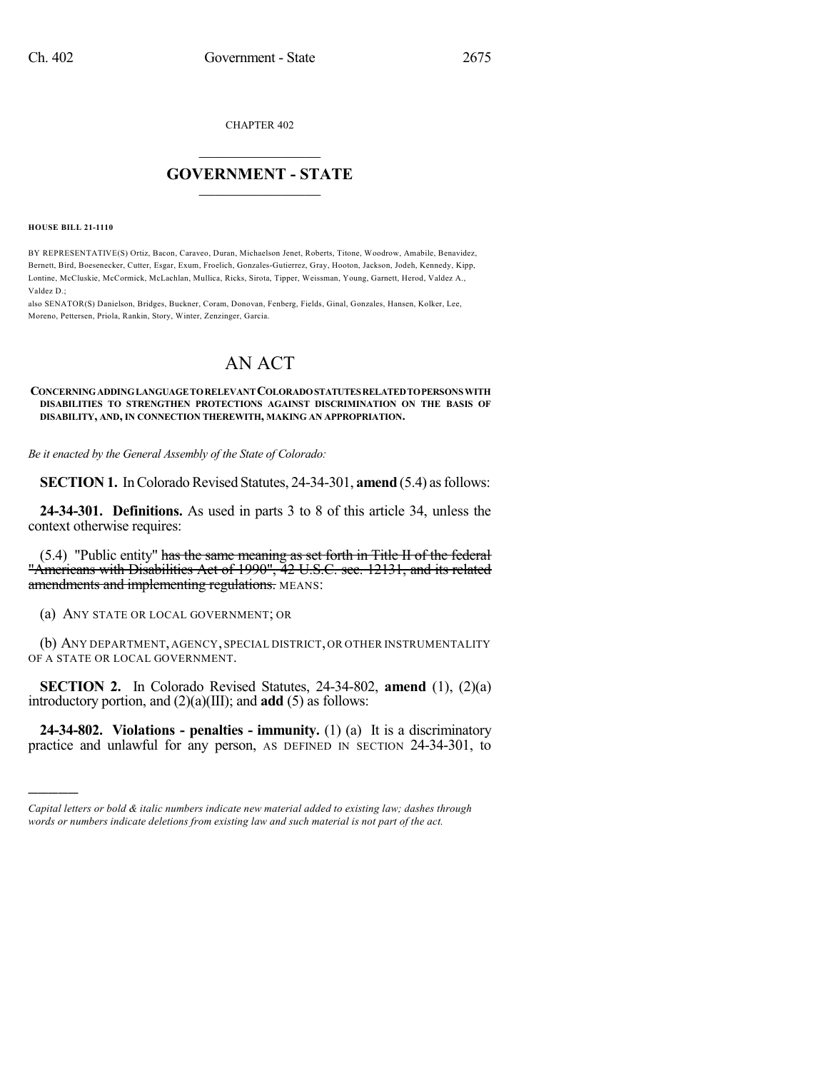CHAPTER 402

## $\overline{\phantom{a}}$  . The set of the set of the set of the set of the set of the set of the set of the set of the set of the set of the set of the set of the set of the set of the set of the set of the set of the set of the set o **GOVERNMENT - STATE**  $\_$

**HOUSE BILL 21-1110**

)))))

BY REPRESENTATIVE(S) Ortiz, Bacon, Caraveo, Duran, Michaelson Jenet, Roberts, Titone, Woodrow, Amabile, Benavidez, Bernett, Bird, Boesenecker, Cutter, Esgar, Exum, Froelich, Gonzales-Gutierrez, Gray, Hooton, Jackson, Jodeh, Kennedy, Kipp, Lontine, McCluskie, McCormick, McLachlan, Mullica, Ricks, Sirota, Tipper, Weissman, Young, Garnett, Herod, Valdez A., Valdez D.;

also SENATOR(S) Danielson, Bridges, Buckner, Coram, Donovan, Fenberg, Fields, Ginal, Gonzales, Hansen, Kolker, Lee, Moreno, Pettersen, Priola, Rankin, Story, Winter, Zenzinger, Garcia.

## AN ACT

## **CONCERNINGADDINGLANGUAGETORELEVANTCOLORADOSTATUTESRELATEDTOPERSONS WITH DISABILITIES TO STRENGTHEN PROTECTIONS AGAINST DISCRIMINATION ON THE BASIS OF DISABILITY, AND, IN CONNECTION THEREWITH, MAKING AN APPROPRIATION.**

*Be it enacted by the General Assembly of the State of Colorado:*

**SECTION 1.** In Colorado Revised Statutes, 24-34-301, **amend** (5.4) as follows:

**24-34-301. Definitions.** As used in parts 3 to 8 of this article 34, unless the context otherwise requires:

(5.4) "Public entity" has the same meaning as set forth in Title II of the federal "Americans with Disabilities Act of 1990", 42 U.S.C. sec. 12131, and its related amendments and implementing regulations. MEANS:

(a) ANY STATE OR LOCAL GOVERNMENT; OR

(b) ANY DEPARTMENT, AGENCY, SPECIAL DISTRICT, OR OTHER INSTRUMENTALITY OF A STATE OR LOCAL GOVERNMENT.

**SECTION 2.** In Colorado Revised Statutes, 24-34-802, **amend** (1), (2)(a) introductory portion, and (2)(a)(III); and **add** (5) as follows:

**24-34-802. Violations - penalties - immunity.** (1) (a) It is a discriminatory practice and unlawful for any person, AS DEFINED IN SECTION 24-34-301, to

*Capital letters or bold & italic numbers indicate new material added to existing law; dashes through words or numbers indicate deletions from existing law and such material is not part of the act.*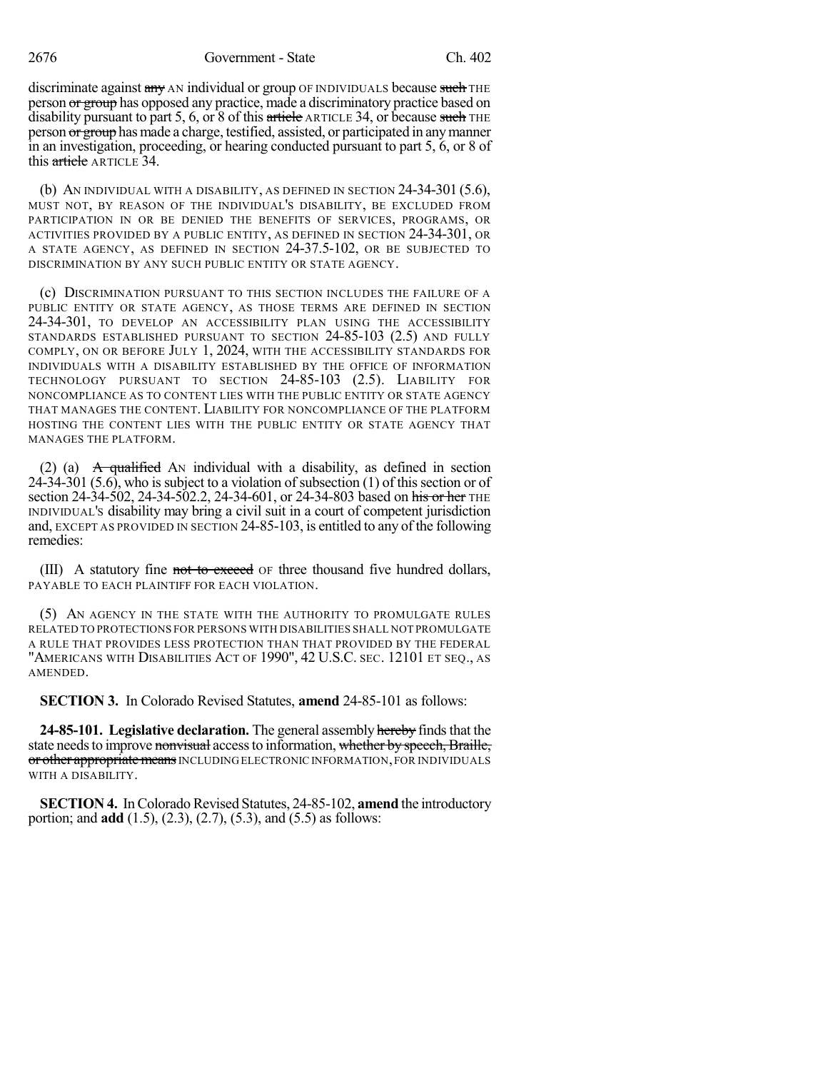2676 Government - State Ch. 402

discriminate against any AN individual or group OF INDIVIDUALS because such THE person or group has opposed any practice, made a discriminatory practice based on disability pursuant to part 5, 6, or 8 of this article ARTICLE 34, or because such THE person or group has made a charge, testified, assisted, or participated in any manner in an investigation, proceeding, or hearing conducted pursuant to part 5, 6, or 8 of this article ARTICLE 34.

(b) AN INDIVIDUAL WITH A DISABILITY, AS DEFINED IN SECTION 24-34-301 (5.6), MUST NOT, BY REASON OF THE INDIVIDUAL'S DISABILITY, BE EXCLUDED FROM PARTICIPATION IN OR BE DENIED THE BENEFITS OF SERVICES, PROGRAMS, OR ACTIVITIES PROVIDED BY A PUBLIC ENTITY, AS DEFINED IN SECTION 24-34-301, OR A STATE AGENCY, AS DEFINED IN SECTION 24-37.5-102, OR BE SUBJECTED TO DISCRIMINATION BY ANY SUCH PUBLIC ENTITY OR STATE AGENCY.

(c) DISCRIMINATION PURSUANT TO THIS SECTION INCLUDES THE FAILURE OF A PUBLIC ENTITY OR STATE AGENCY, AS THOSE TERMS ARE DEFINED IN SECTION 24-34-301, TO DEVELOP AN ACCESSIBILITY PLAN USING THE ACCESSIBILITY STANDARDS ESTABLISHED PURSUANT TO SECTION 24-85-103 (2.5) AND FULLY COMPLY, ON OR BEFORE JULY 1, 2024, WITH THE ACCESSIBILITY STANDARDS FOR INDIVIDUALS WITH A DISABILITY ESTABLISHED BY THE OFFICE OF INFORMATION TECHNOLOGY PURSUANT TO SECTION 24-85-103 (2.5). LIABILITY FOR NONCOMPLIANCE AS TO CONTENT LIES WITH THE PUBLIC ENTITY OR STATE AGENCY THAT MANAGES THE CONTENT. LIABILITY FOR NONCOMPLIANCE OF THE PLATFORM HOSTING THE CONTENT LIES WITH THE PUBLIC ENTITY OR STATE AGENCY THAT MANAGES THE PLATFORM.

(2) (a)  $\overrightarrow{A}$  qualified AN individual with a disability, as defined in section  $24-34-301$  (5.6), who is subject to a violation of subsection (1) of this section or of section 24-34-502, 24-34-502.2, 24-34-601, or 24-34-803 based on his or her THE INDIVIDUAL'S disability may bring a civil suit in a court of competent jurisdiction and, EXCEPT AS PROVIDED IN SECTION 24-85-103, is entitled to any of the following remedies:

(III) A statutory fine not to exceed of three thousand five hundred dollars, PAYABLE TO EACH PLAINTIFF FOR EACH VIOLATION.

(5) AN AGENCY IN THE STATE WITH THE AUTHORITY TO PROMULGATE RULES RELATED TO PROTECTIONS FOR PERSONS WITH DISABILITIES SHALL NOT PROMULGATE A RULE THAT PROVIDES LESS PROTECTION THAN THAT PROVIDED BY THE FEDERAL "AMERICANS WITH DISABILITIES ACT OF 1990", 42 U.S.C. SEC. 12101 ET SEQ., AS AMENDED.

**SECTION 3.** In Colorado Revised Statutes, **amend** 24-85-101 as follows:

**24-85-101. Legislative declaration.** The general assembly hereby finds that the state needs to improve nonvisual access to information, whether by speech, Braille, or other appropriate means INCLUDING ELECTRONIC INFORMATION, FOR INDIVIDUALS WITH A DISABILITY.

**SECTION 4.** In Colorado Revised Statutes, 24-85-102, **amend** the introductory portion; and **add** (1.5), (2.3), (2.7), (5.3), and (5.5) as follows: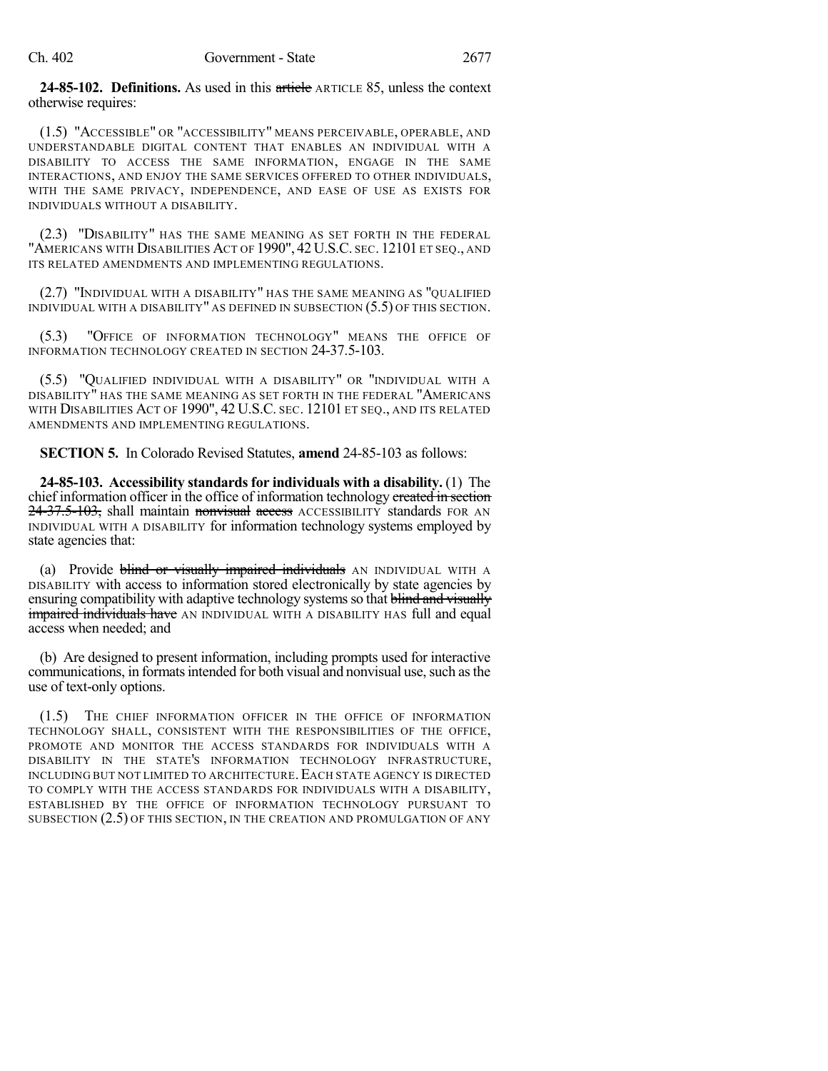**24-85-102. Definitions.** As used in this article ARTICLE 85, unless the context otherwise requires:

(1.5) "ACCESSIBLE" OR "ACCESSIBILITY" MEANS PERCEIVABLE, OPERABLE, AND UNDERSTANDABLE DIGITAL CONTENT THAT ENABLES AN INDIVIDUAL WITH A DISABILITY TO ACCESS THE SAME INFORMATION, ENGAGE IN THE SAME INTERACTIONS, AND ENJOY THE SAME SERVICES OFFERED TO OTHER INDIVIDUALS, WITH THE SAME PRIVACY, INDEPENDENCE, AND EASE OF USE AS EXISTS FOR INDIVIDUALS WITHOUT A DISABILITY.

(2.3) "DISABILITY" HAS THE SAME MEANING AS SET FORTH IN THE FEDERAL "AMERICANS WITH DISABILITIES ACT OF 1990", 42 U.S.C. SEC. 12101 ET SEQ., AND ITS RELATED AMENDMENTS AND IMPLEMENTING REGULATIONS.

(2.7) "INDIVIDUAL WITH A DISABILITY" HAS THE SAME MEANING AS "QUALIFIED INDIVIDUAL WITH A DISABILITY" AS DEFINED IN SUBSECTION (5.5) OF THIS SECTION.

(5.3) "OFFICE OF INFORMATION TECHNOLOGY" MEANS THE OFFICE OF INFORMATION TECHNOLOGY CREATED IN SECTION 24-37.5-103.

(5.5) "QUALIFIED INDIVIDUAL WITH A DISABILITY" OR "INDIVIDUAL WITH A DISABILITY" HAS THE SAME MEANING AS SET FORTH IN THE FEDERAL "AMERICANS WITH DISABILITIES ACT OF 1990", 42 U.S.C. SEC. 12101 ET SEQ., AND ITS RELATED AMENDMENTS AND IMPLEMENTING REGULATIONS.

**SECTION 5.** In Colorado Revised Statutes, **amend** 24-85-103 as follows:

**24-85-103. Accessibility standards for individuals with a disability.** (1) The chief information officer in the office of information technology ereated in section 24-37.5-103, shall maintain nonvisual access ACCESSIBILITY standards FOR AN INDIVIDUAL WITH A DISABILITY for information technology systems employed by state agencies that:

(a) Provide blind or visually impaired individuals AN INDIVIDUAL WITH A DISABILITY with access to information stored electronically by state agencies by ensuring compatibility with adaptive technology systems so that blind and visually **impaired individuals have** AN INDIVIDUAL WITH A DISABILITY HAS full and equal access when needed; and

(b) Are designed to present information, including prompts used for interactive communications, in formats intended for both visual and nonvisual use, such as the use of text-only options.

(1.5) THE CHIEF INFORMATION OFFICER IN THE OFFICE OF INFORMATION TECHNOLOGY SHALL, CONSISTENT WITH THE RESPONSIBILITIES OF THE OFFICE, PROMOTE AND MONITOR THE ACCESS STANDARDS FOR INDIVIDUALS WITH A DISABILITY IN THE STATE'S INFORMATION TECHNOLOGY INFRASTRUCTURE, INCLUDING BUT NOT LIMITED TO ARCHITECTURE.EACH STATE AGENCY IS DIRECTED TO COMPLY WITH THE ACCESS STANDARDS FOR INDIVIDUALS WITH A DISABILITY, ESTABLISHED BY THE OFFICE OF INFORMATION TECHNOLOGY PURSUANT TO SUBSECTION (2.5) OF THIS SECTION, IN THE CREATION AND PROMULGATION OF ANY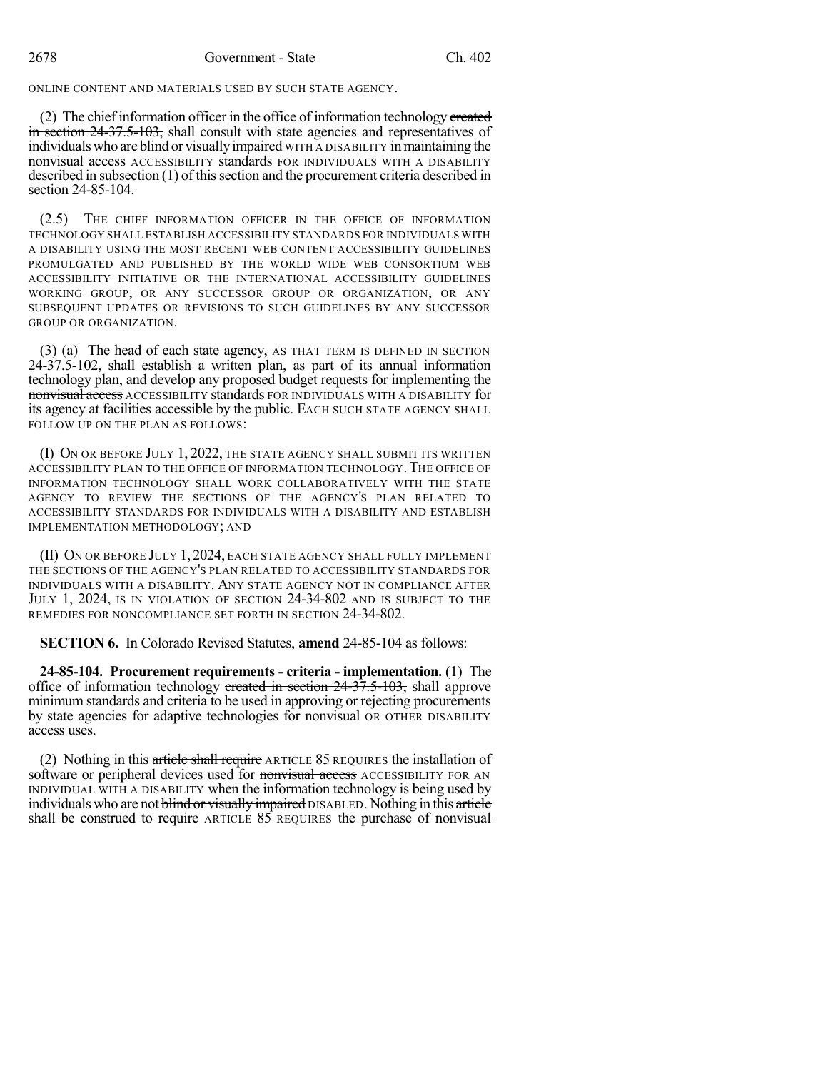ONLINE CONTENT AND MATERIALS USED BY SUCH STATE AGENCY.

(2) The chief information officer in the office of information technology created in section 24-37.5-103, shall consult with state agencies and representatives of individuals who are blind or visually impaired WITH A DISABILITY in maintaining the nonvisual access ACCESSIBILITY standards FOR INDIVIDUALS WITH A DISABILITY described in subsection (1) of thissection and the procurement criteria described in section 24-85-104.

(2.5) THE CHIEF INFORMATION OFFICER IN THE OFFICE OF INFORMATION TECHNOLOGY SHALL ESTABLISH ACCESSIBILITY STANDARDS FOR INDIVIDUALS WITH A DISABILITY USING THE MOST RECENT WEB CONTENT ACCESSIBILITY GUIDELINES PROMULGATED AND PUBLISHED BY THE WORLD WIDE WEB CONSORTIUM WEB ACCESSIBILITY INITIATIVE OR THE INTERNATIONAL ACCESSIBILITY GUIDELINES WORKING GROUP, OR ANY SUCCESSOR GROUP OR ORGANIZATION, OR ANY SUBSEQUENT UPDATES OR REVISIONS TO SUCH GUIDELINES BY ANY SUCCESSOR GROUP OR ORGANIZATION.

(3) (a) The head of each state agency, AS THAT TERM IS DEFINED IN SECTION 24-37.5-102, shall establish a written plan, as part of its annual information technology plan, and develop any proposed budget requests for implementing the nonvisual access ACCESSIBILITY standards FOR INDIVIDUALS WITH A DISABILITY for its agency at facilities accessible by the public. EACH SUCH STATE AGENCY SHALL FOLLOW UP ON THE PLAN AS FOLLOWS:

(I) ON OR BEFORE JULY 1, 2022, THE STATE AGENCY SHALL SUBMIT ITS WRITTEN ACCESSIBILITY PLAN TO THE OFFICE OF INFORMATION TECHNOLOGY.THE OFFICE OF INFORMATION TECHNOLOGY SHALL WORK COLLABORATIVELY WITH THE STATE AGENCY TO REVIEW THE SECTIONS OF THE AGENCY'S PLAN RELATED TO ACCESSIBILITY STANDARDS FOR INDIVIDUALS WITH A DISABILITY AND ESTABLISH IMPLEMENTATION METHODOLOGY; AND

(II) ON OR BEFORE JULY 1, 2024, EACH STATE AGENCY SHALL FULLY IMPLEMENT THE SECTIONS OF THE AGENCY'S PLAN RELATED TO ACCESSIBILITY STANDARDS FOR INDIVIDUALS WITH A DISABILITY. ANY STATE AGENCY NOT IN COMPLIANCE AFTER JULY 1, 2024, IS IN VIOLATION OF SECTION 24-34-802 AND IS SUBJECT TO THE REMEDIES FOR NONCOMPLIANCE SET FORTH IN SECTION 24-34-802.

**SECTION 6.** In Colorado Revised Statutes, **amend** 24-85-104 as follows:

**24-85-104. Procurement requirements - criteria - implementation.** (1) The office of information technology created in section  $24-37.5-103$ , shall approve minimum standards and criteria to be used in approving or rejecting procurements by state agencies for adaptive technologies for nonvisual OR OTHER DISABILITY access uses.

(2) Nothing in this article shall require ARTICLE 85 REQUIRES the installation of software or peripheral devices used for nonvisual access ACCESSIBILITY FOR AN INDIVIDUAL WITH A DISABILITY when the information technology is being used by individuals who are not blind or visually impaired DISABLED. Nothing in this article shall be construed to require ARTICLE 85 REQUIRES the purchase of nonvisual